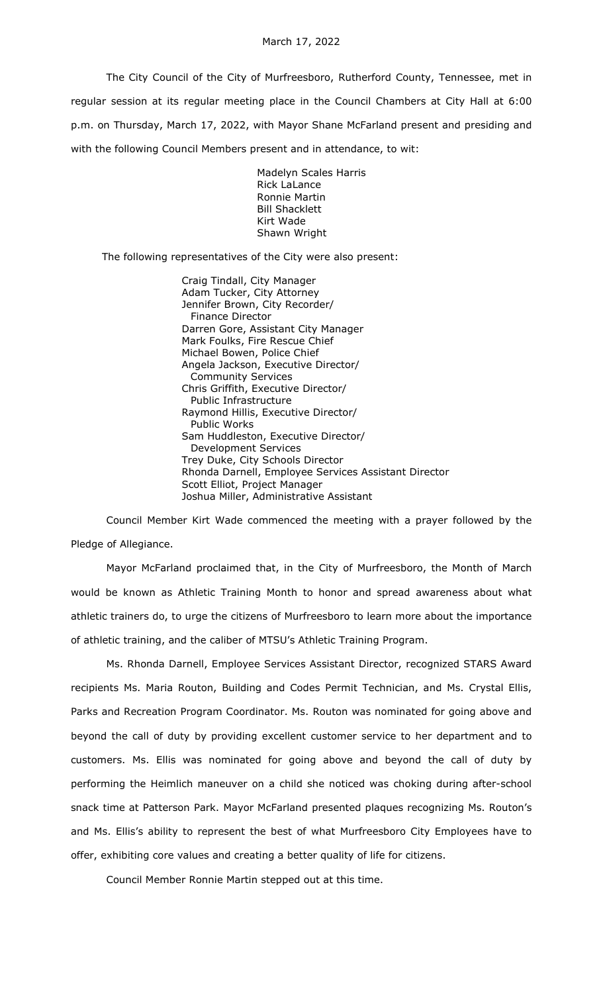The City Council of the City of Murfreesboro, Rutherford County, Tennessee, met in regular session at its regular meeting place in the Council Chambers at City Hall at 6:00 p.m. on Thursday, March 17, 2022, with Mayor Shane McFarland present and presiding and with the following Council Members present and in attendance, to wit:

> Madelyn Scales Harris Rick LaLance Ronnie Martin Bill Shacklett Kirt Wade Shawn Wright

The following representatives of the City were also present:

Craig Tindall, City Manager Adam Tucker, City Attorney Jennifer Brown, City Recorder/ Finance Director Darren Gore, Assistant City Manager Mark Foulks, Fire Rescue Chief Michael Bowen, Police Chief Angela Jackson, Executive Director/ Community Services Chris Griffith, Executive Director/ Public Infrastructure Raymond Hillis, Executive Director/ Public Works Sam Huddleston, Executive Director/ Development Services Trey Duke, City Schools Director Rhonda Darnell, Employee Services Assistant Director Scott Elliot, Project Manager Joshua Miller, Administrative Assistant

Council Member Kirt Wade commenced the meeting with a prayer followed by the Pledge of Allegiance.

Mayor McFarland proclaimed that, in the City of Murfreesboro, the Month of March would be known as Athletic Training Month to honor and spread awareness about what athletic trainers do, to urge the citizens of Murfreesboro to learn more about the importance of athletic training, and the caliber of MTSU's Athletic Training Program.

Ms. Rhonda Darnell, Employee Services Assistant Director, recognized STARS Award recipients Ms. Maria Routon, Building and Codes Permit Technician, and Ms. Crystal Ellis, Parks and Recreation Program Coordinator. Ms. Routon was nominated for going above and beyond the call of duty by providing excellent customer service to her department and to customers. Ms. Ellis was nominated for going above and beyond the call of duty by performing the Heimlich maneuver on a child she noticed was choking during after-school snack time at Patterson Park. Mayor McFarland presented plaques recognizing Ms. Routon's and Ms. Ellis's ability to represent the best of what Murfreesboro City Employees have to offer, exhibiting core values and creating a better quality of life for citizens.

Council Member Ronnie Martin stepped out at this time.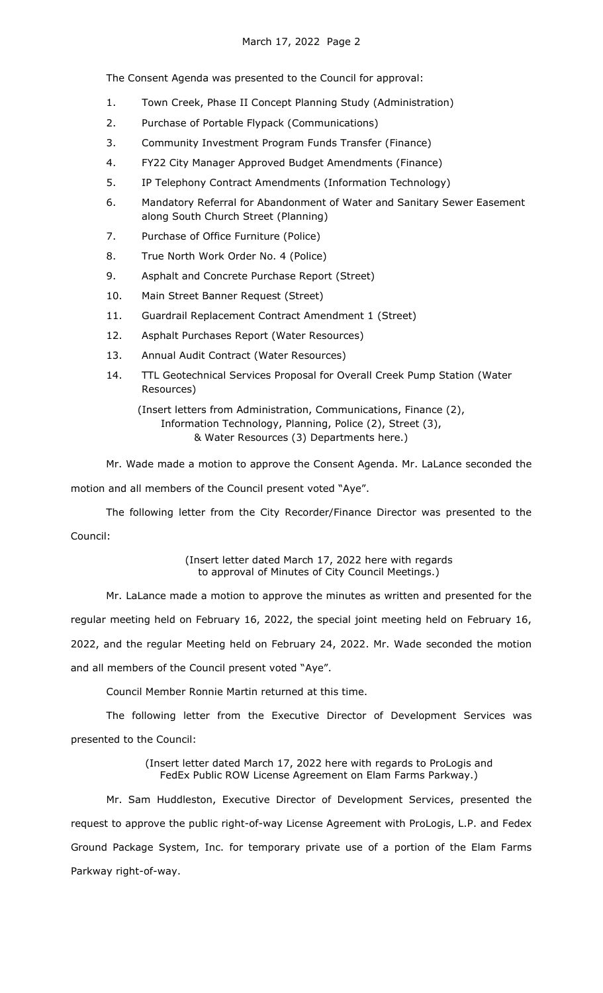The Consent Agenda was presented to the Council for approval:

- 1. Town Creek, Phase II Concept Planning Study (Administration)
- 2. Purchase of Portable Flypack (Communications)
- 3. Community Investment Program Funds Transfer (Finance)
- 4. FY22 City Manager Approved Budget Amendments (Finance)
- 5. IP Telephony Contract Amendments (Information Technology)
- 6. Mandatory Referral for Abandonment of Water and Sanitary Sewer Easement along South Church Street (Planning)
- 7. Purchase of Office Furniture (Police)
- 8. True North Work Order No. 4 (Police)
- 9. Asphalt and Concrete Purchase Report (Street)
- 10. Main Street Banner Request (Street)
- 11. Guardrail Replacement Contract Amendment 1 (Street)
- 12. Asphalt Purchases Report (Water Resources)
- 13. Annual Audit Contract (Water Resources)
- 14. TTL Geotechnical Services Proposal for Overall Creek Pump Station (Water Resources)

(Insert letters from Administration, Communications, Finance (2), Information Technology, Planning, Police (2), Street (3), & Water Resources (3) Departments here.)

Mr. Wade made a motion to approve the Consent Agenda. Mr. LaLance seconded the motion and all members of the Council present voted "Aye".

The following letter from the City Recorder/Finance Director was presented to the Council:

> (Insert letter dated March 17, 2022 here with regards to approval of Minutes of City Council Meetings.)

Mr. LaLance made a motion to approve the minutes as written and presented for the regular meeting held on February 16, 2022, the special joint meeting held on February 16, 2022, and the regular Meeting held on February 24, 2022. Mr. Wade seconded the motion and all members of the Council present voted "Aye".

Council Member Ronnie Martin returned at this time.

The following letter from the Executive Director of Development Services was presented to the Council:

> (Insert letter dated March 17, 2022 here with regards to ProLogis and FedEx Public ROW License Agreement on Elam Farms Parkway.)

Mr. Sam Huddleston, Executive Director of Development Services, presented the request to approve the public right-of-way License Agreement with ProLogis, L.P. and Fedex Ground Package System, Inc. for temporary private use of a portion of the Elam Farms Parkway right-of-way.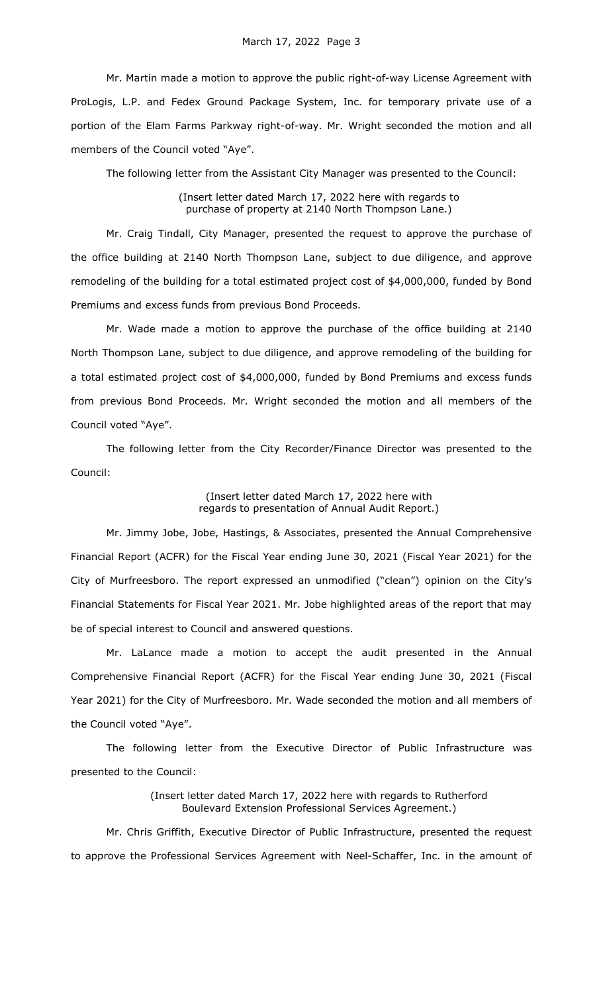Mr. Martin made a motion to approve the public right-of-way License Agreement with ProLogis, L.P. and Fedex Ground Package System, Inc. for temporary private use of a portion of the Elam Farms Parkway right-of-way. Mr. Wright seconded the motion and all members of the Council voted "Aye".

The following letter from the Assistant City Manager was presented to the Council:

(Insert letter dated March 17, 2022 here with regards to purchase of property at 2140 North Thompson Lane.)

Mr. Craig Tindall, City Manager, presented the request to approve the purchase of the office building at 2140 North Thompson Lane, subject to due diligence, and approve remodeling of the building for a total estimated project cost of \$4,000,000, funded by Bond Premiums and excess funds from previous Bond Proceeds.

Mr. Wade made a motion to approve the purchase of the office building at 2140 North Thompson Lane, subject to due diligence, and approve remodeling of the building for a total estimated project cost of \$4,000,000, funded by Bond Premiums and excess funds from previous Bond Proceeds. Mr. Wright seconded the motion and all members of the Council voted "Aye".

The following letter from the City Recorder/Finance Director was presented to the Council:

## (Insert letter dated March 17, 2022 here with regards to presentation of Annual Audit Report.)

Mr. Jimmy Jobe, Jobe, Hastings, & Associates, presented the Annual Comprehensive Financial Report (ACFR) for the Fiscal Year ending June 30, 2021 (Fiscal Year 2021) for the City of Murfreesboro. The report expressed an unmodified ("clean") opinion on the City's Financial Statements for Fiscal Year 2021. Mr. Jobe highlighted areas of the report that may be of special interest to Council and answered questions.

Mr. LaLance made a motion to accept the audit presented in the Annual Comprehensive Financial Report (ACFR) for the Fiscal Year ending June 30, 2021 (Fiscal Year 2021) for the City of Murfreesboro. Mr. Wade seconded the motion and all members of the Council voted "Aye".

The following letter from the Executive Director of Public Infrastructure was presented to the Council:

> (Insert letter dated March 17, 2022 here with regards to Rutherford Boulevard Extension Professional Services Agreement.)

Mr. Chris Griffith, Executive Director of Public Infrastructure, presented the request to approve the Professional Services Agreement with Neel-Schaffer, Inc. in the amount of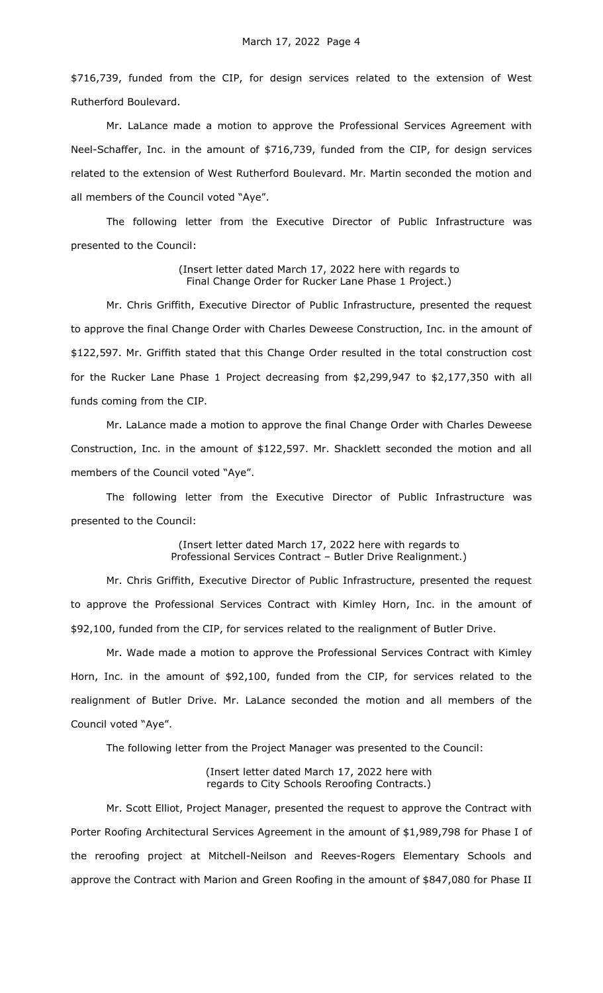\$716,739, funded from the CIP, for design services related to the extension of West Rutherford Boulevard.

Mr. LaLance made a motion to approve the Professional Services Agreement with Neel-Schaffer, Inc. in the amount of \$716,739, funded from the CIP, for design services related to the extension of West Rutherford Boulevard. Mr. Martin seconded the motion and all members of the Council voted "Aye".

The following letter from the Executive Director of Public Infrastructure was presented to the Council:

> (Insert letter dated March 17, 2022 here with regards to Final Change Order for Rucker Lane Phase 1 Project.)

Mr. Chris Griffith, Executive Director of Public Infrastructure, presented the request to approve the final Change Order with Charles Deweese Construction, Inc. in the amount of \$122,597. Mr. Griffith stated that this Change Order resulted in the total construction cost for the Rucker Lane Phase 1 Project decreasing from \$2,299,947 to \$2,177,350 with all funds coming from the CIP.

Mr. LaLance made a motion to approve the final Change Order with Charles Deweese Construction, Inc. in the amount of \$122,597. Mr. Shacklett seconded the motion and all members of the Council voted "Aye".

The following letter from the Executive Director of Public Infrastructure was presented to the Council:

> (Insert letter dated March 17, 2022 here with regards to Professional Services Contract – Butler Drive Realignment.)

Mr. Chris Griffith, Executive Director of Public Infrastructure, presented the request to approve the Professional Services Contract with Kimley Horn, Inc. in the amount of \$92,100, funded from the CIP, for services related to the realignment of Butler Drive.

Mr. Wade made a motion to approve the Professional Services Contract with Kimley Horn, Inc. in the amount of \$92,100, funded from the CIP, for services related to the realignment of Butler Drive. Mr. LaLance seconded the motion and all members of the Council voted "Aye".

The following letter from the Project Manager was presented to the Council:

(Insert letter dated March 17, 2022 here with regards to City Schools Reroofing Contracts.)

Mr. Scott Elliot, Project Manager, presented the request to approve the Contract with Porter Roofing Architectural Services Agreement in the amount of \$1,989,798 for Phase I of the reroofing project at Mitchell-Neilson and Reeves-Rogers Elementary Schools and approve the Contract with Marion and Green Roofing in the amount of \$847,080 for Phase II